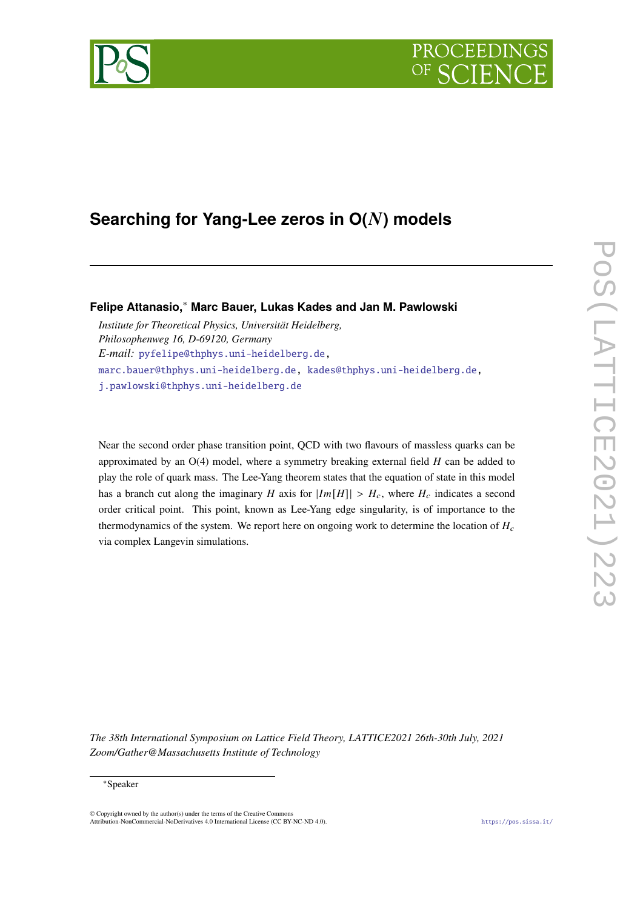# **PROCEEDI**



# **Searching for Yang-Lee zeros in O() models**

**Felipe Attanasio,**<sup>∗</sup> **Marc Bauer, Lukas Kades and Jan M. Pawlowski**

*Institute for Theoretical Physics, Universität Heidelberg, Philosophenweg 16, D-69120, Germany E-mail:* [pyfelipe@thphys.uni-heidelberg.de,](mailto:pyfelipe@thphys.uni-heidelberg.de) [marc.bauer@thphys.uni-heidelberg.de,](mailto:marc.bauer@thphys.uni-heidelberg.de) [kades@thphys.uni-heidelberg.de,](mailto:kades@thphys.uni-heidelberg.de) [j.pawlowski@thphys.uni-heidelberg.de](mailto:j.pawlowski@thphys.uni-heidelberg.de)

Near the second order phase transition point, QCD with two flavours of massless quarks can be approximated by an  $O(4)$  model, where a symmetry breaking external field  $H$  can be added to play the role of quark mass. The Lee-Yang theorem states that the equation of state in this model has a branch cut along the imaginary H axis for  $|Im[H]| > H_c$ , where  $H_c$  indicates a second order critical point. This point, known as Lee-Yang edge singularity, is of importance to the thermodynamics of the system. We report here on ongoing work to determine the location of  $H_c$ via complex Langevin simulations.

*The 38th International Symposium on Lattice Field Theory, LATTICE2021 26th-30th July, 2021 Zoom/Gather@Massachusetts Institute of Technology*

<sup>∗</sup>Speaker

 $\odot$  Copyright owned by the author(s) under the terms of the Creative Common Attribution-NonCommercial-NoDerivatives 4.0 International License (CC BY-NC-ND 4.0). <https://pos.sissa.it/>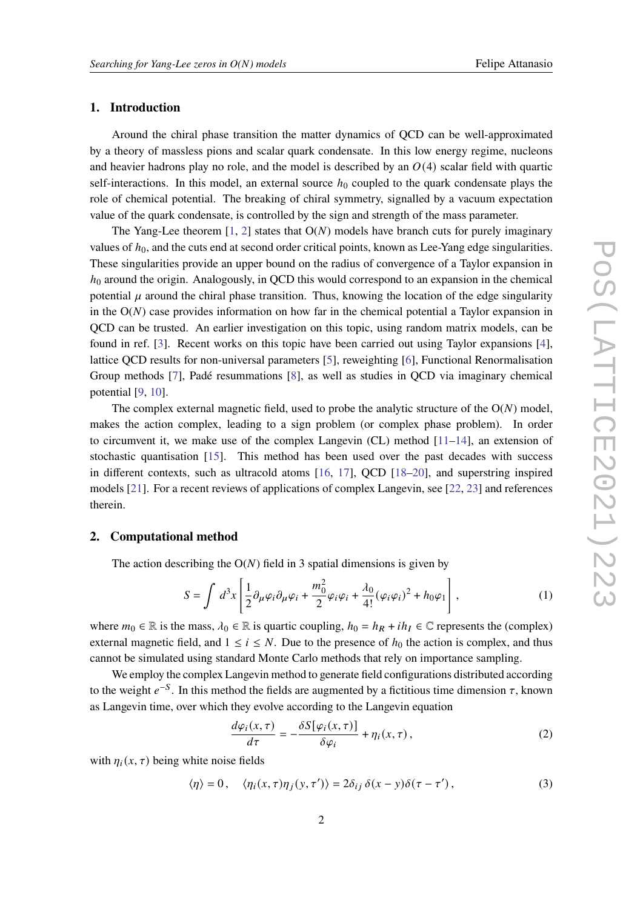### **1. Introduction**

Around the chiral phase transition the matter dynamics of QCD can be well-approximated by a theory of massless pions and scalar quark condensate. In this low energy regime, nucleons and heavier hadrons play no role, and the model is described by an  $O(4)$  scalar field with quartic self-interactions. In this model, an external source  $h_0$  coupled to the quark condensate plays the role of chemical potential. The breaking of chiral symmetry, signalled by a vacuum expectation value of the quark condensate, is controlled by the sign and strength of the mass parameter.

The Yang-Lee theorem  $[1, 2]$  $[1, 2]$  $[1, 2]$  states that  $O(N)$  models have branch cuts for purely imaginary values of  $h_0$ , and the cuts end at second order critical points, known as Lee-Yang edge singularities. These singularities provide an upper bound on the radius of convergence of a Taylor expansion in  $h_0$  around the origin. Analogously, in QCD this would correspond to an expansion in the chemical potential  $\mu$  around the chiral phase transition. Thus, knowing the location of the edge singularity in the  $O(N)$  case provides information on how far in the chemical potential a Taylor expansion in QCD can be trusted. An earlier investigation on this topic, using random matrix models, can be found in ref. [\[3\]](#page-5-2). Recent works on this topic have been carried out using Taylor expansions [\[4\]](#page-5-3), lattice QCD results for non-universal parameters [\[5\]](#page-6-0), reweighting [\[6\]](#page-6-1), Functional Renormalisation Group methods [\[7\]](#page-6-2), Padé resummations [\[8\]](#page-6-3), as well as studies in QCD via imaginary chemical potential [\[9,](#page-6-4) [10\]](#page-6-5).

The complex external magnetic field, used to probe the analytic structure of the  $O(N)$  model, makes the action complex, leading to a sign problem (or complex phase problem). In order to circumvent it, we make use of the complex Langevin (CL) method [\[11–](#page-6-6)[14\]](#page-6-7), an extension of stochastic quantisation [\[15\]](#page-6-8). This method has been used over the past decades with success in different contexts, such as ultracold atoms [\[16,](#page-6-9) [17\]](#page-6-10), QCD [\[18–](#page-6-11)[20\]](#page-6-12), and superstring inspired models [\[21\]](#page-6-13). For a recent reviews of applications of complex Langevin, see [\[22,](#page-7-0) [23\]](#page-7-1) and references therein.

# **2. Computational method**

The action describing the  $O(N)$  field in 3 spatial dimensions is given by

$$
S = \int d^3x \left[ \frac{1}{2} \partial_\mu \varphi_i \partial_\mu \varphi_i + \frac{m_0^2}{2} \varphi_i \varphi_i + \frac{\lambda_0}{4!} (\varphi_i \varphi_i)^2 + h_0 \varphi_1 \right],
$$
 (1)

where  $m_0 \in \mathbb{R}$  is the mass,  $\lambda_0 \in \mathbb{R}$  is quartic coupling,  $h_0 = h_R + ih_I \in \mathbb{C}$  represents the (complex) external magnetic field, and  $1 \le i \le N$ . Due to the presence of  $h_0$  the action is complex, and thus cannot be simulated using standard Monte Carlo methods that rely on importance sampling.

We employ the complex Langevin method to generate field configurations distributed according to the weight  $e^{-S}$ . In this method the fields are augmented by a fictitious time dimension  $\tau$ , known as Langevin time, over which they evolve according to the Langevin equation

$$
\frac{d\varphi_i(x,\tau)}{d\tau} = -\frac{\delta S[\varphi_i(x,\tau)]}{\delta \varphi_i} + \eta_i(x,\tau),\tag{2}
$$

with  $\eta_i(x, \tau)$  being white noise fields

$$
\langle \eta \rangle = 0, \quad \langle \eta_i(x, \tau) \eta_j(y, \tau') \rangle = 2 \delta_{ij} \, \delta(x - y) \delta(\tau - \tau'), \tag{3}
$$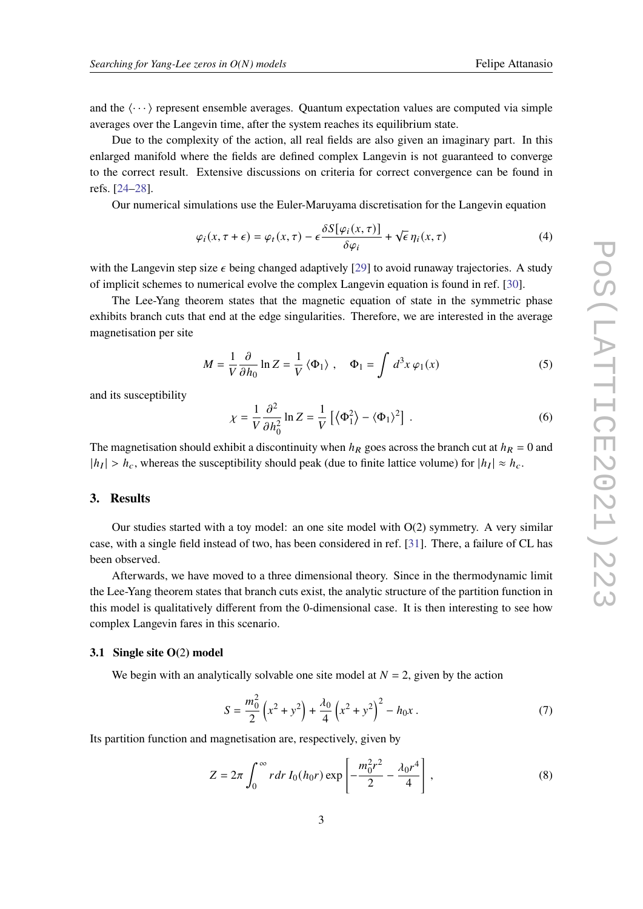and the  $\langle \cdots \rangle$  represent ensemble averages. Quantum expectation values are computed via simple averages over the Langevin time, after the system reaches its equilibrium state.

Due to the complexity of the action, all real fields are also given an imaginary part. In this enlarged manifold where the fields are defined complex Langevin is not guaranteed to converge to the correct result. Extensive discussions on criteria for correct convergence can be found in refs. [\[24](#page-7-2)[–28\]](#page-7-3).

Our numerical simulations use the Euler-Maruyama discretisation for the Langevin equation

$$
\varphi_i(x, \tau + \epsilon) = \varphi_t(x, \tau) - \epsilon \frac{\delta S[\varphi_i(x, \tau)]}{\delta \varphi_i} + \sqrt{\epsilon} \eta_i(x, \tau)
$$
\n(4)

with the Langevin step size  $\epsilon$  being changed adaptively [\[29\]](#page-7-4) to avoid runaway trajectories. A study of implicit schemes to numerical evolve the complex Langevin equation is found in ref. [\[30\]](#page-7-5).

The Lee-Yang theorem states that the magnetic equation of state in the symmetric phase exhibits branch cuts that end at the edge singularities. Therefore, we are interested in the average magnetisation per site

$$
M = \frac{1}{V} \frac{\partial}{\partial h_0} \ln Z = \frac{1}{V} \langle \Phi_1 \rangle , \quad \Phi_1 = \int d^3 x \, \varphi_1(x) \tag{5}
$$

and its susceptibility

$$
\chi = \frac{1}{V} \frac{\partial^2}{\partial h_0^2} \ln Z = \frac{1}{V} \left[ \langle \Phi_1^2 \rangle - \langle \Phi_1 \rangle^2 \right] . \tag{6}
$$

The magnetisation should exhibit a discontinuity when  $h_R$  goes across the branch cut at  $h_R = 0$  and  $|h_I| > h_c$ , whereas the susceptibility should peak (due to finite lattice volume) for  $|h_I| \approx h_c$ .

#### **3. Results**

Our studies started with a toy model: an one site model with  $O(2)$  symmetry. A very similar case, with a single field instead of two, has been considered in ref. [\[31\]](#page-7-6). There, a failure of CL has been observed.

Afterwards, we have moved to a three dimensional theory. Since in the thermodynamic limit the Lee-Yang theorem states that branch cuts exist, the analytic structure of the partition function in this model is qualitatively different from the 0-dimensional case. It is then interesting to see how complex Langevin fares in this scenario.

#### **3.1 Single site O(**2**) model**

We begin with an analytically solvable one site model at  $N = 2$ , given by the action

$$
S = \frac{m_0^2}{2} \left( x^2 + y^2 \right) + \frac{\lambda_0}{4} \left( x^2 + y^2 \right)^2 - h_0 x \,. \tag{7}
$$

Its partition function and magnetisation are, respectively, given by

$$
Z = 2\pi \int_0^\infty r \, dr \, I_0(h_0 r) \exp\left[-\frac{m_0^2 r^2}{2} - \frac{\lambda_0 r^4}{4}\right],\tag{8}
$$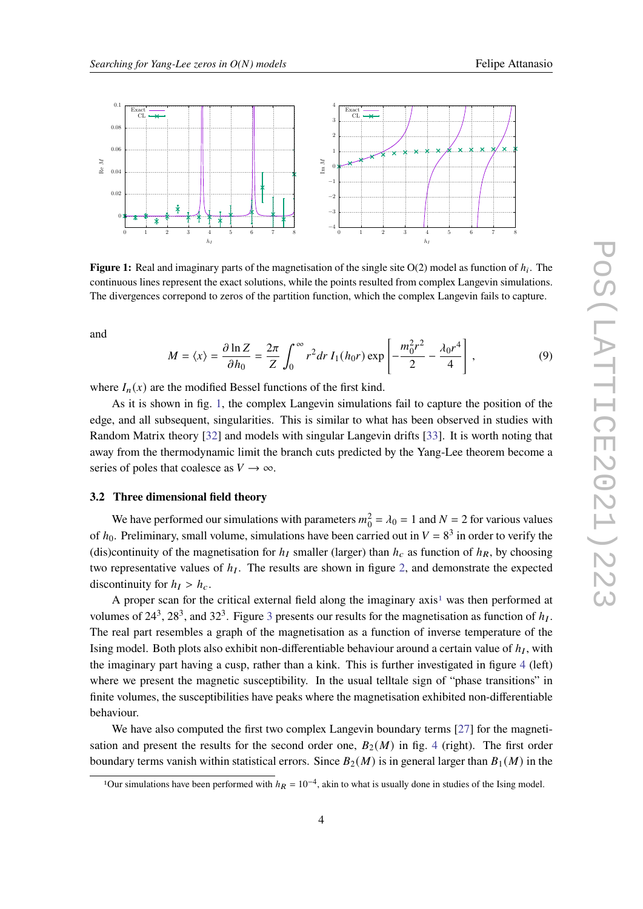<span id="page-3-0"></span>

**Figure 1:** Real and imaginary parts of the magnetisation of the single site  $O(2)$  model as function of  $h_i$ . The continuous lines represent the exact solutions, while the points resulted from complex Langevin simulations. The divergences correpond to zeros of the partition function, which the complex Langevin fails to capture.

and

$$
M = \langle x \rangle = \frac{\partial \ln Z}{\partial h_0} = \frac{2\pi}{Z} \int_0^\infty r^2 dr I_1(h_0 r) \exp\left[ -\frac{m_0^2 r^2}{2} - \frac{\lambda_0 r^4}{4} \right],
$$
 (9)

where  $I_n(x)$  are the modified Bessel functions of the first kind.

As it is shown in fig. [1,](#page-3-0) the complex Langevin simulations fail to capture the position of the edge, and all subsequent, singularities. This is similar to what has been observed in studies with Random Matrix theory [\[32\]](#page-7-7) and models with singular Langevin drifts [\[33\]](#page-7-8). It is worth noting that away from the thermodynamic limit the branch cuts predicted by the Yang-Lee theorem become a series of poles that coalesce as  $V \rightarrow \infty$ .

#### **3.2 Three dimensional field theory**

We have performed our simulations with parameters  $m_0^2 = \lambda_0 = 1$  and  $N = 2$  for various values of  $h_0$ . Preliminary, small volume, simulations have been carried out in  $V = 8^3$  in order to verify the (dis)continuity of the magnetisation for  $h_I$  smaller (larger) than  $h_C$  as function of  $h_R$ , by choosing two representative values of  $h_I$ . The results are shown in figure [2,](#page-4-0) and demonstrate the expected discontinuity for  $h_I > h_c$ .

A proper scan for the critical external field along the imaginary  $axis<sup>1</sup>$  $axis<sup>1</sup>$  $axis<sup>1</sup>$  was then performed at volumes of 24<sup>[3](#page-4-1)</sup>, 28<sup>3</sup>, and 32<sup>3</sup>. Figure 3 presents our results for the magnetisation as function of  $h_I$ . The real part resembles a graph of the magnetisation as a function of inverse temperature of the Ising model. Both plots also exhibit non-differentiable behaviour around a certain value of  $h_I$ , with the imaginary part having a cusp, rather than a kink. This is further investigated in figure [4](#page-5-4) (left) where we present the magnetic susceptibility. In the usual telltale sign of "phase transitions" in finite volumes, the susceptibilities have peaks where the magnetisation exhibited non-differentiable behaviour.

We have also computed the first two complex Langevin boundary terms [\[27\]](#page-7-9) for the magnetisation and present the results for the second order one,  $B_2(M)$  in fig. [4](#page-5-4) (right). The first order boundary terms vanish within statistical errors. Since  $B_2(M)$  is in general larger than  $B_1(M)$  in the

<span id="page-3-1"></span><sup>&</sup>lt;sup>1</sup>Our simulations have been performed with  $h_R = 10^{-4}$ , akin to what is usually done in studies of the Ising model.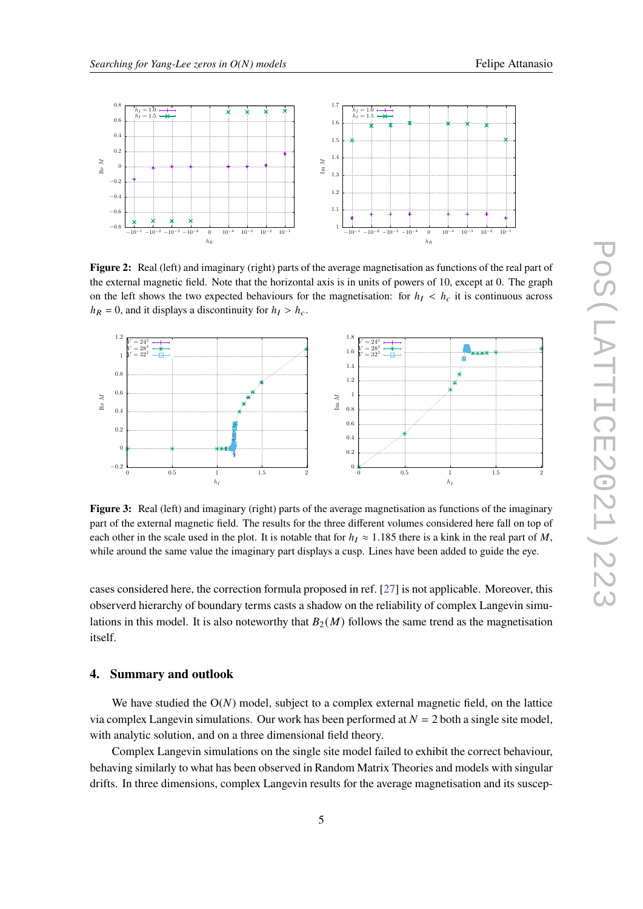

<span id="page-4-0"></span>

**Figure 2:** Real (left) and imaginary (right) parts of the average magnetisation as functions of the real part of the external magnetic field. Note that the horizontal axis is in units of powers of 10, except at 0. The graph on the left shows the two expected behaviours for the magnetisation: for  $h<sub>I</sub> < h<sub>c</sub>$  it is continuous across  $h_R = 0$ , and it displays a discontinuity for  $h_I > h_c$ .

<span id="page-4-1"></span>

**Figure 3:** Real (left) and imaginary (right) parts of the average magnetisation as functions of the imaginary part of the external magnetic field. The results for the three different volumes considered here fall on top of each other in the scale used in the plot. It is notable that for  $h_I \approx 1.185$  there is a kink in the real part of M, while around the same value the imaginary part displays a cusp. Lines have been added to guide the eye.

cases considered here, the correction formula proposed in ref. [\[27\]](#page-7-9) is not applicable. Moreover, this observerd hierarchy of boundary terms casts a shadow on the reliability of complex Langevin simulations in this model. It is also noteworthy that  $B_2(M)$  follows the same trend as the magnetisation itself.

# **4. Summary and outlook**

We have studied the  $O(N)$  model, subject to a complex external magnetic field, on the lattice via complex Langevin simulations. Our work has been performed at  $N = 2$  both a single site model, with analytic solution, and on a three dimensional field theory.

Complex Langevin simulations on the single site model failed to exhibit the correct behaviour, behaving similarly to what has been observed in Random Matrix Theories and models with singular drifts. In three dimensions, complex Langevin results for the average magnetisation and its suscep-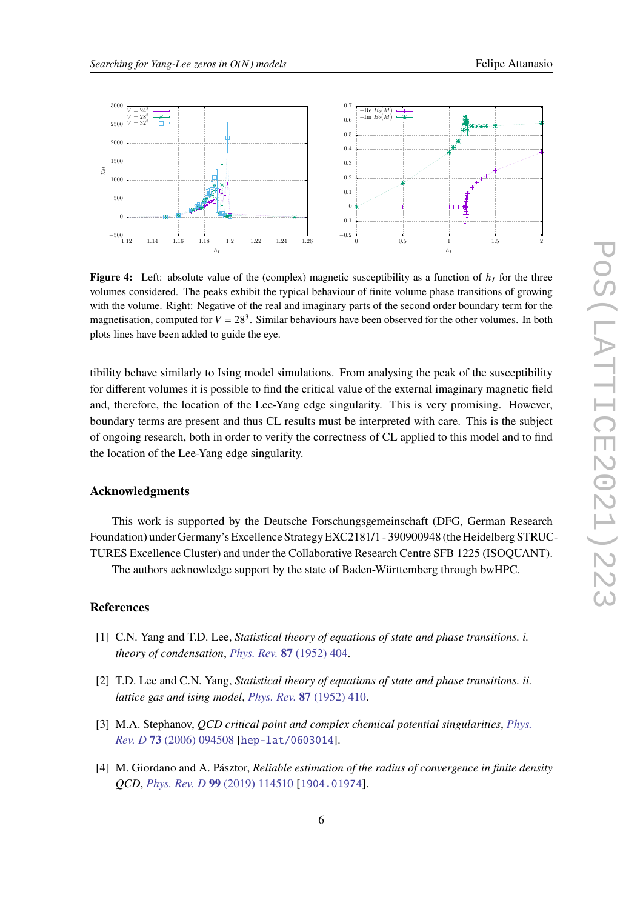<span id="page-5-4"></span>

**Figure 4:** Left: absolute value of the (complex) magnetic susceptibility as a function of  $h<sub>I</sub>$  for the three volumes considered. The peaks exhibit the typical behaviour of finite volume phase transitions of growing with the volume. Right: Negative of the real and imaginary parts of the second order boundary term for the magnetisation, computed for  $V = 28<sup>3</sup>$ . Similar behaviours have been observed for the other volumes. In both plots lines have been added to guide the eye.

tibility behave similarly to Ising model simulations. From analysing the peak of the susceptibility for different volumes it is possible to find the critical value of the external imaginary magnetic field and, therefore, the location of the Lee-Yang edge singularity. This is very promising. However, boundary terms are present and thus CL results must be interpreted with care. This is the subject of ongoing research, both in order to verify the correctness of CL applied to this model and to find the location of the Lee-Yang edge singularity.

# **Acknowledgments**

This work is supported by the Deutsche Forschungsgemeinschaft (DFG, German Research Foundation) under Germany's Excellence Strategy EXC2181/1 - 390900948 (the Heidelberg STRUC-TURES Excellence Cluster) and under the Collaborative Research Centre SFB 1225 (ISOQUANT).

The authors acknowledge support by the state of Baden-Württemberg through bwHPC.

# **References**

- <span id="page-5-0"></span>[1] C.N. Yang and T.D. Lee, *Statistical theory of equations of state and phase transitions. i. theory of condensation*, *Phys. Rev.* **87** [\(1952\) 404.](https://doi.org/10.1103/PhysRev.87.404)
- <span id="page-5-1"></span>[2] T.D. Lee and C.N. Yang, *Statistical theory of equations of state and phase transitions. ii. lattice gas and ising model*, *Phys. Rev.* **87** [\(1952\) 410.](https://doi.org/10.1103/PhysRev.87.410)
- <span id="page-5-2"></span>[3] M.A. Stephanov, *QCD critical point and complex chemical potential singularities*, *[Phys.](https://doi.org/10.1103/PhysRevD.73.094508) Rev. D* **73** [\(2006\) 094508](https://doi.org/10.1103/PhysRevD.73.094508) [[hep-lat/0603014](https://arxiv.org/abs/hep-lat/0603014)].
- <span id="page-5-3"></span>[4] M. Giordano and A. Pásztor, *Reliable estimation of the radius of convergence in finite density QCD*, *Phys. Rev. D* **99** [\(2019\) 114510](https://doi.org/10.1103/PhysRevD.99.114510) [[1904.01974](https://arxiv.org/abs/1904.01974)].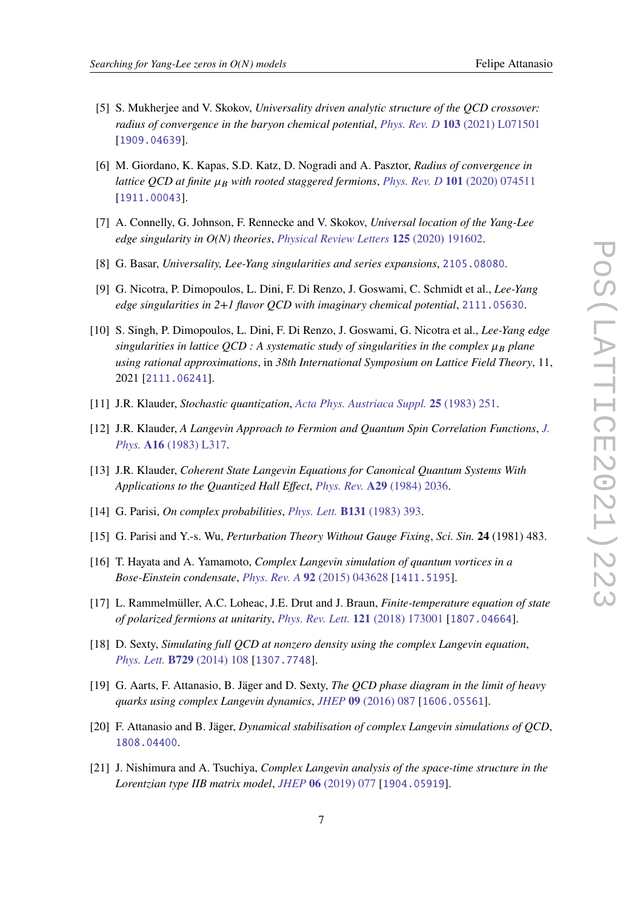- 
- <span id="page-6-0"></span>[5] S. Mukherjee and V. Skokov, *Universality driven analytic structure of the QCD crossover: radius of convergence in the baryon chemical potential*, *Phys. Rev. D* **103** [\(2021\) L071501](https://doi.org/10.1103/PhysRevD.103.L071501) [[1909.04639](https://arxiv.org/abs/1909.04639)].
- <span id="page-6-1"></span>[6] M. Giordano, K. Kapas, S.D. Katz, D. Nogradi and A. Pasztor, *Radius of convergence in lattice QCD at finite*  $\mu_B$  with rooted staggered fermions, *Phys. Rev. D* 101 [\(2020\) 074511](https://doi.org/10.1103/PhysRevD.101.074511) [[1911.00043](https://arxiv.org/abs/1911.00043)].
- <span id="page-6-2"></span>[7] A. Connelly, G. Johnson, F. Rennecke and V. Skokov, *Universal location of the Yang-Lee edge singularity in O(N) theories*, *[Physical Review Letters](https://doi.org/10.1103/PhysRevLett.125.191602)* **125** (2020) 191602.
- <span id="page-6-3"></span>[8] G. Basar, *Universality, Lee-Yang singularities and series expansions*, [2105.08080](https://arxiv.org/abs/2105.08080).
- <span id="page-6-4"></span>[9] G. Nicotra, P. Dimopoulos, L. Dini, F. Di Renzo, J. Goswami, C. Schmidt et al., *Lee-Yang edge singularities in 2+1 flavor QCD with imaginary chemical potential*, [2111.05630](https://arxiv.org/abs/2111.05630).
- <span id="page-6-5"></span>[10] S. Singh, P. Dimopoulos, L. Dini, F. Di Renzo, J. Goswami, G. Nicotra et al., *Lee-Yang edge singularities in lattice QCD : A systematic study of singularities in the complex*  $\mu_B$  plane *using rational approximations*, in *38th International Symposium on Lattice Field Theory*, 11, 2021 [[2111.06241](https://arxiv.org/abs/2111.06241)].
- <span id="page-6-6"></span>[11] J.R. Klauder, *Stochastic quantization*, *[Acta Phys. Austriaca Suppl.](https://doi.org/10.1007/978-3-7091-7651-1_8)* **25** (1983) 251.
- [12] J.R. Klauder, *A Langevin Approach to Fermion and Quantum Spin Correlation Functions*, *[J.](https://doi.org/10.1088/0305-4470/16/10/001) Phys.* **A16** [\(1983\) L317.](https://doi.org/10.1088/0305-4470/16/10/001)
- [13] J.R. Klauder, *Coherent State Langevin Equations for Canonical Quantum Systems With Applications to the Quantized Hall Effect*, *Phys. Rev.* **A29** [\(1984\) 2036.](https://doi.org/10.1103/PhysRevA.29.2036)
- <span id="page-6-7"></span>[14] G. Parisi, *On complex probabilities*, *Phys. Lett.* **B131** [\(1983\) 393.](https://doi.org/10.1016/0370-2693(83)90525-7)
- <span id="page-6-8"></span>[15] G. Parisi and Y.-s. Wu, *Perturbation Theory Without Gauge Fixing*, *Sci. Sin.* **24** (1981) 483.
- <span id="page-6-9"></span>[16] T. Hayata and A. Yamamoto, *Complex Langevin simulation of quantum vortices in a Bose-Einstein condensate*, *Phys. Rev. A* **92** [\(2015\) 043628](https://doi.org/10.1103/PhysRevA.92.043628) [[1411.5195](https://arxiv.org/abs/1411.5195)].
- <span id="page-6-10"></span>[17] L. Rammelmüller, A.C. Loheac, J.E. Drut and J. Braun, *Finite-temperature equation of state of polarized fermions at unitarity*, *[Phys. Rev. Lett.](https://doi.org/10.1103/PhysRevLett.121.173001)* **121** (2018) 173001 [[1807.04664](https://arxiv.org/abs/1807.04664)].
- <span id="page-6-11"></span>[18] D. Sexty, *Simulating full QCD at nonzero density using the complex Langevin equation*, *Phys. Lett.* **B729** [\(2014\) 108](https://doi.org/10.1016/j.physletb.2014.01.019) [[1307.7748](https://arxiv.org/abs/1307.7748)].
- [19] G. Aarts, F. Attanasio, B. Jäger and D. Sexty, *The QCD phase diagram in the limit of heavy quarks using complex Langevin dynamics*, *JHEP* **09** [\(2016\) 087](https://doi.org/10.1007/JHEP09(2016)087) [[1606.05561](https://arxiv.org/abs/1606.05561)].
- <span id="page-6-12"></span>[20] F. Attanasio and B. Jäger, *Dynamical stabilisation of complex Langevin simulations of QCD*, [1808.04400](https://arxiv.org/abs/1808.04400).
- <span id="page-6-13"></span>[21] J. Nishimura and A. Tsuchiya, *Complex Langevin analysis of the space-time structure in the Lorentzian type IIB matrix model*, *JHEP* **06** [\(2019\) 077](https://doi.org/10.1007/JHEP06(2019)077) [[1904.05919](https://arxiv.org/abs/1904.05919)].